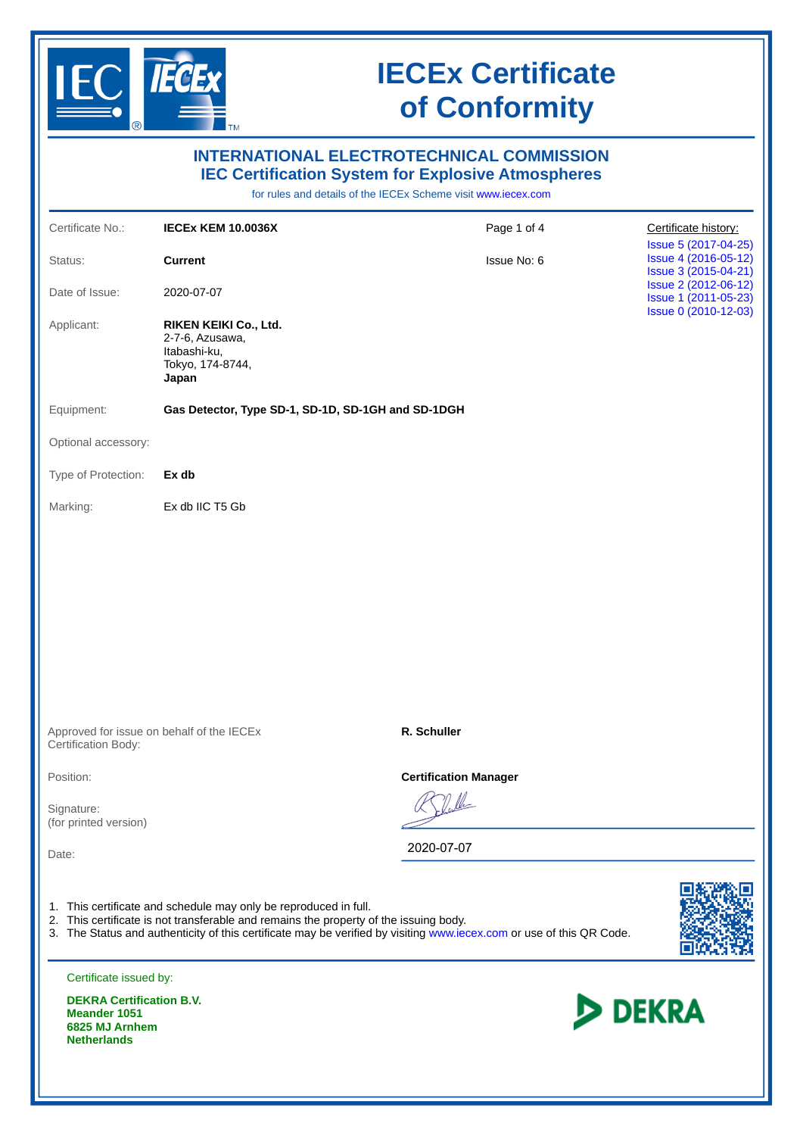

**Netherlands**

# **IECEx Certificate of Conformity**

| <b>INTERNATIONAL ELECTROTECHNICAL COMMISSION</b><br><b>IEC Certification System for Explosive Atmospheres</b><br>for rules and details of the IECEx Scheme visit www.iecex.com |                                                                                                                                                           |                                                                                                                      |                                                                      |  |
|--------------------------------------------------------------------------------------------------------------------------------------------------------------------------------|-----------------------------------------------------------------------------------------------------------------------------------------------------------|----------------------------------------------------------------------------------------------------------------------|----------------------------------------------------------------------|--|
| Certificate No.:                                                                                                                                                               | <b>IECEX KEM 10.0036X</b>                                                                                                                                 | Page 1 of 4                                                                                                          | Certificate history:                                                 |  |
| Status:                                                                                                                                                                        | <b>Current</b>                                                                                                                                            | Issue No: 6                                                                                                          | Issue 5 (2017-04-25)<br>Issue 4 (2016-05-12)                         |  |
| Date of Issue:                                                                                                                                                                 | 2020-07-07                                                                                                                                                |                                                                                                                      | Issue 3 (2015-04-21)<br>Issue 2 (2012-06-12)<br>Issue 1 (2011-05-23) |  |
| Applicant:                                                                                                                                                                     | RIKEN KEIKI Co., Ltd.<br>2-7-6, Azusawa,<br>Itabashi-ku,<br>Tokyo, 174-8744,<br>Japan                                                                     |                                                                                                                      | Issue 0 (2010-12-03)                                                 |  |
| Equipment:                                                                                                                                                                     | Gas Detector, Type SD-1, SD-1D, SD-1GH and SD-1DGH                                                                                                        |                                                                                                                      |                                                                      |  |
| Optional accessory:                                                                                                                                                            |                                                                                                                                                           |                                                                                                                      |                                                                      |  |
| Type of Protection:                                                                                                                                                            | Ex db                                                                                                                                                     |                                                                                                                      |                                                                      |  |
| Marking:                                                                                                                                                                       | Ex db IIC T5 Gb                                                                                                                                           |                                                                                                                      |                                                                      |  |
|                                                                                                                                                                                | Approved for issue on behalf of the IECEx                                                                                                                 | R. Schuller                                                                                                          |                                                                      |  |
| Certification Body:                                                                                                                                                            |                                                                                                                                                           |                                                                                                                      |                                                                      |  |
| Position:<br>Signature:<br>(for printed version)                                                                                                                               |                                                                                                                                                           | <b>Certification Manager</b>                                                                                         |                                                                      |  |
| Date:                                                                                                                                                                          |                                                                                                                                                           | 2020-07-07                                                                                                           |                                                                      |  |
|                                                                                                                                                                                | 1. This certificate and schedule may only be reproduced in full.<br>2. This certificate is not transferable and remains the property of the issuing body. | 3. The Status and authenticity of this certificate may be verified by visiting www.iecex.com or use of this QR Code. |                                                                      |  |
| Certificate issued by:                                                                                                                                                         |                                                                                                                                                           |                                                                                                                      |                                                                      |  |
| <b>DEKRA Certification B.V.</b><br><b>Meander 1051</b><br>6825 MJ Arnhem                                                                                                       |                                                                                                                                                           |                                                                                                                      | <b>DEKRA</b>                                                         |  |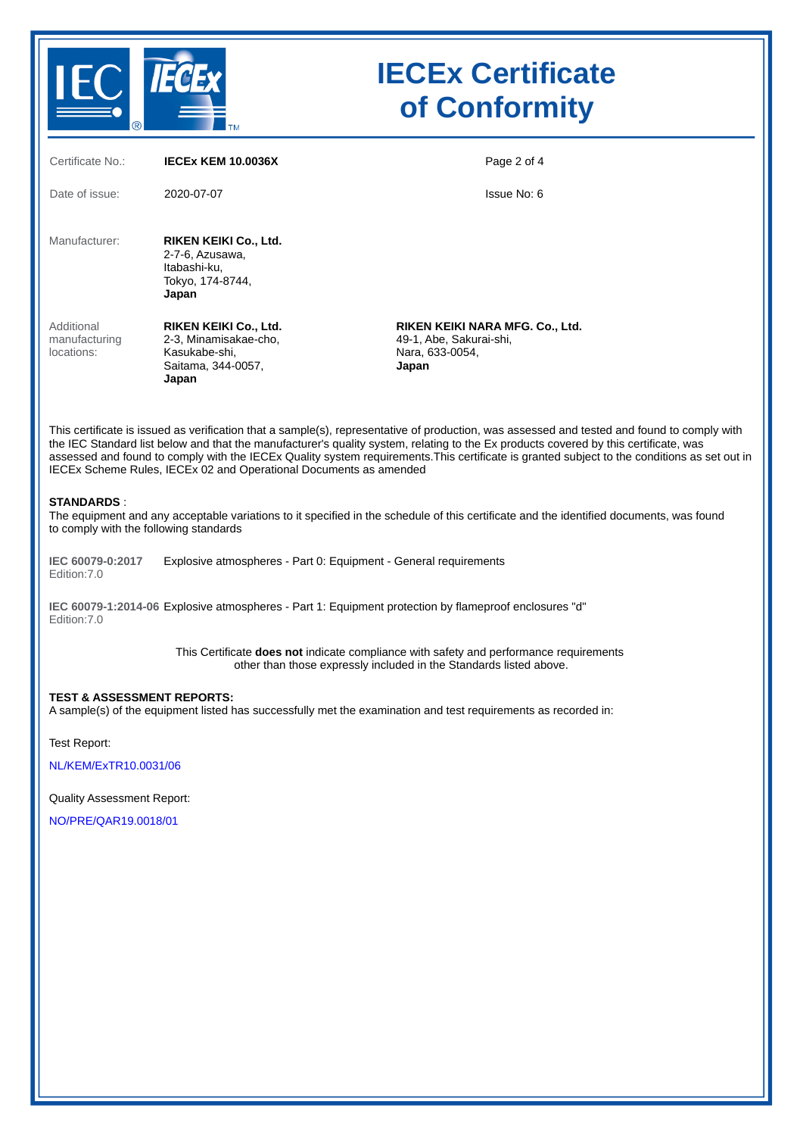

## **IECEx Certificate of Conformity**

| Certificate No.:                          | <b>IECEX KEM 10.0036X</b>                                                                      | Page 2 of 4                                                                                                                                                                                                                                                                       |
|-------------------------------------------|------------------------------------------------------------------------------------------------|-----------------------------------------------------------------------------------------------------------------------------------------------------------------------------------------------------------------------------------------------------------------------------------|
| Date of issue:                            | 2020-07-07                                                                                     | Issue No. 6                                                                                                                                                                                                                                                                       |
| Manufacturer:                             | RIKEN KEIKI Co., Ltd.<br>2-7-6, Azusawa,<br>Itabashi-ku,<br>Tokyo, 174-8744,<br>Japan          |                                                                                                                                                                                                                                                                                   |
| Additional<br>manufacturing<br>locations: | RIKEN KEIKI Co., Ltd.<br>2-3, Minamisakae-cho,<br>Kasukabe-shi,<br>Saitama, 344-0057,<br>Japan | RIKEN KEIKI NARA MFG. Co., Ltd.<br>49-1, Abe, Sakurai-shi,<br>Nara, 633-0054,<br>Japan                                                                                                                                                                                            |
|                                           |                                                                                                | This certificate is issued as verification that a sample(s), representative of production, was assessed and tested and found to comply with<br>the IEO Ctenderal liet helpwand that the monufacturerle quelity outers relative to the Everenduate covered by this contificate was |

the IEC Standard list below and that the manufacturer's quality system, relating to the Ex products covered by this certificate, was assessed and found to comply with the IECEx Quality system requirements.This certificate is granted subject to the conditions as set out in IECEx Scheme Rules, IECEx 02 and Operational Documents as amended

#### **STANDARDS** :

The equipment and any acceptable variations to it specified in the schedule of this certificate and the identified documents, was found to comply with the following standards

**IEC 60079-0:2017** Edition:7.0 Explosive atmospheres - Part 0: Equipment - General requirements

**IEC 60079-1:2014-06** Explosive atmospheres - Part 1: Equipment protection by flameproof enclosures "d" Edition:7.0

> This Certificate **does not** indicate compliance with safety and performance requirements other than those expressly included in the Standards listed above.

#### **TEST & ASSESSMENT REPORTS:**

A sample(s) of the equipment listed has successfully met the examination and test requirements as recorded in:

Test Report:

[NL/KEM/ExTR10.0031/06](https://www.iecex-certs.com/deliverables/REPORT/65978/view)

Quality Assessment Report:

[NO/PRE/QAR19.0018/01](https://www.iecex-certs.com/deliverables/REPORT/65245/view)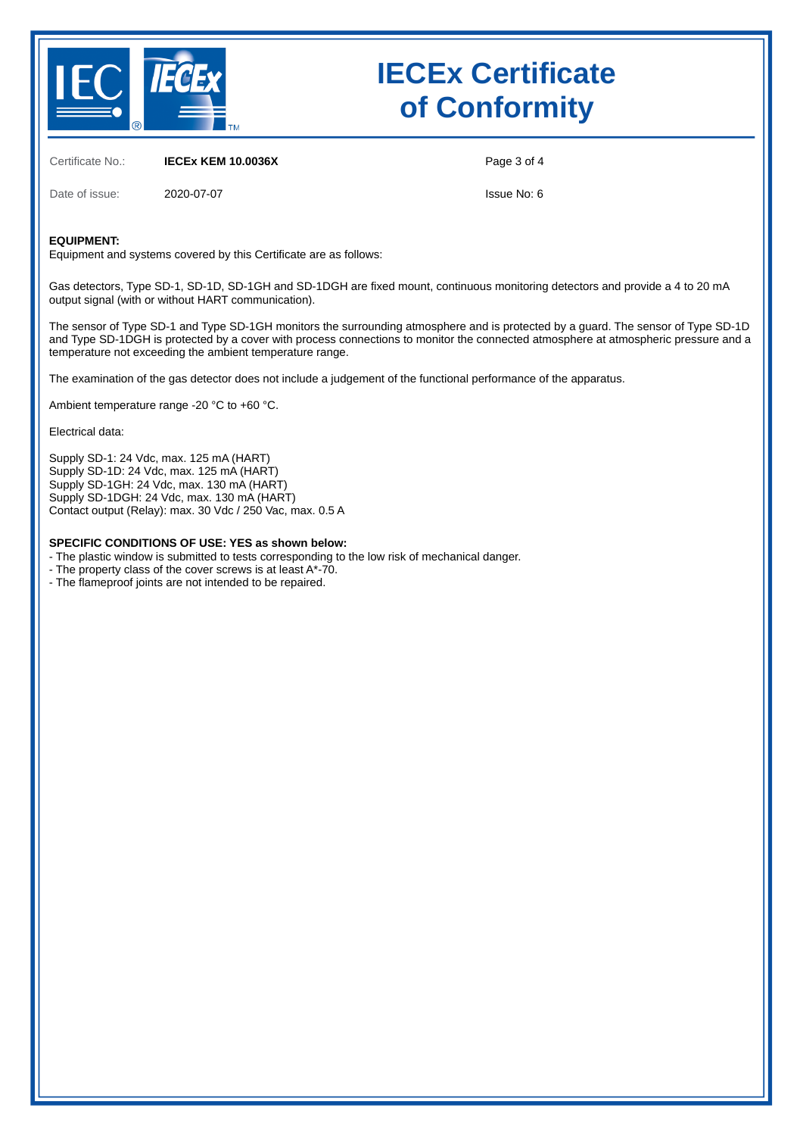

# **IECEx Certificate of Conformity**

Certificate No.: **IECEx KEM 10.0036X**

Page 3 of 4

Date of issue: 2020-07-07

Issue No: 6

#### **EQUIPMENT:**

Equipment and systems covered by this Certificate are as follows:

Gas detectors, Type SD-1, SD-1D, SD-1GH and SD-1DGH are fixed mount, continuous monitoring detectors and provide a 4 to 20 mA output signal (with or without HART communication).

The sensor of Type SD-1 and Type SD-1GH monitors the surrounding atmosphere and is protected by a guard. The sensor of Type SD-1D and Type SD-1DGH is protected by a cover with process connections to monitor the connected atmosphere at atmospheric pressure and a temperature not exceeding the ambient temperature range.

The examination of the gas detector does not include a judgement of the functional performance of the apparatus.

Ambient temperature range -20 °C to +60 °C.

Electrical data:

Supply SD-1: 24 Vdc, max. 125 mA (HART) Supply SD-1D: 24 Vdc, max. 125 mA (HART) Supply SD-1GH: 24 Vdc, max. 130 mA (HART) Supply SD-1DGH: 24 Vdc, max. 130 mA (HART) Contact output (Relay): max. 30 Vdc / 250 Vac, max. 0.5 A

### **SPECIFIC CONDITIONS OF USE: YES as shown below:**

- The plastic window is submitted to tests corresponding to the low risk of mechanical danger.

- The property class of the cover screws is at least A\*-70.
- The flameproof joints are not intended to be repaired.